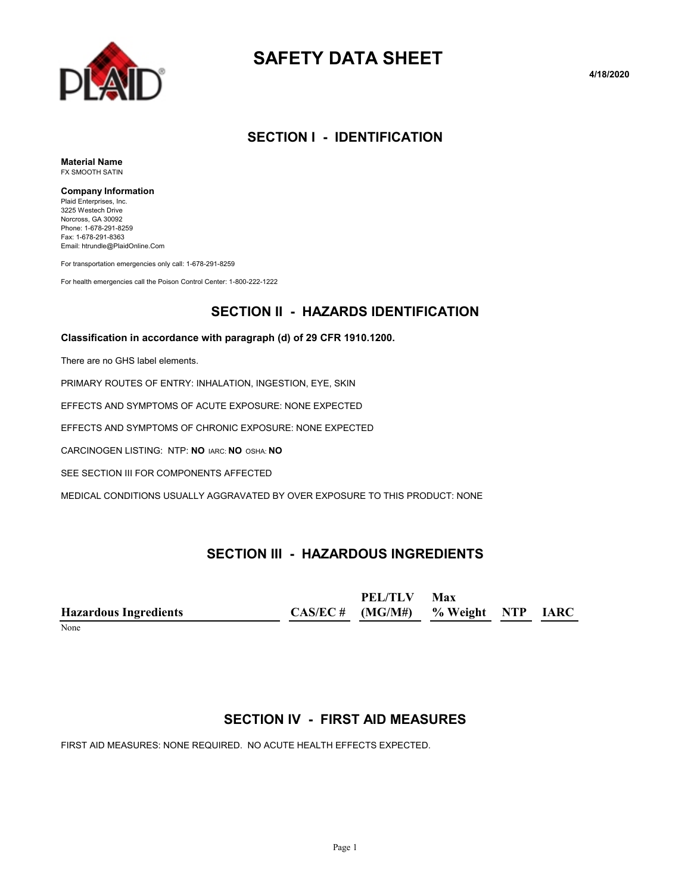

# **SAFETY DATA SHEET**

**4/18/2020**

# **SECTION I - IDENTIFICATION**

**Material Name** FX SMOOTH SATIN

#### **Company Information**

Plaid Enterprises, Inc. 3225 Westech Drive Norcross, GA 30092 Phone: 1-678-291-8259 Fax: 1-678-291-8363 Email: htrundle@PlaidOnline.Com

For transportation emergencies only call: 1-678-291-8259

For health emergencies call the Poison Control Center: 1-800-222-1222

# **SECTION II - HAZARDS IDENTIFICATION**

#### **Classification in accordance with paragraph (d) of 29 CFR 1910.1200.**

There are no GHS label elements.

PRIMARY ROUTES OF ENTRY: INHALATION, INGESTION, EYE, SKIN

EFFECTS AND SYMPTOMS OF ACUTE EXPOSURE: NONE EXPECTED

EFFECTS AND SYMPTOMS OF CHRONIC EXPOSURE: NONE EXPECTED

CARCINOGEN LISTING: NTP: **NO** IARC: **NO** OSHA: **NO**

SEE SECTION III FOR COMPONENTS AFFECTED

MEDICAL CONDITIONS USUALLY AGGRAVATED BY OVER EXPOSURE TO THIS PRODUCT: NONE

# **SECTION III - HAZARDOUS INGREDIENTS**

|                              | PEL/TLV                              | Max |  |
|------------------------------|--------------------------------------|-----|--|
| <b>Hazardous Ingredients</b> | $CAS/EC # (MG/M#)$ % Weight NTP IARC |     |  |
| $ -$                         |                                      |     |  |

#### None

# **SECTION IV - FIRST AID MEASURES**

FIRST AID MEASURES: NONE REQUIRED. NO ACUTE HEALTH EFFECTS EXPECTED.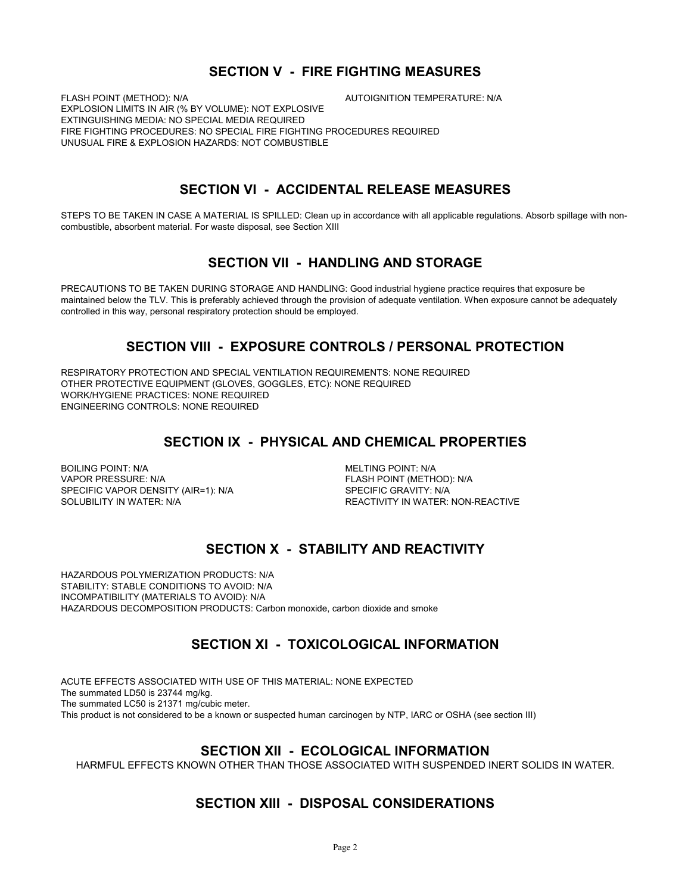### **SECTION V - FIRE FIGHTING MEASURES**

FLASH POINT (METHOD): N/A **AUTOIGNITION TEMPERATURE: N/A** EXPLOSION LIMITS IN AIR (% BY VOLUME): NOT EXPLOSIVE EXTINGUISHING MEDIA: NO SPECIAL MEDIA REQUIRED FIRE FIGHTING PROCEDURES: NO SPECIAL FIRE FIGHTING PROCEDURES REQUIRED UNUSUAL FIRE & EXPLOSION HAZARDS: NOT COMBUSTIBLE

# **SECTION VI - ACCIDENTAL RELEASE MEASURES**

STEPS TO BE TAKEN IN CASE A MATERIAL IS SPILLED: Clean up in accordance with all applicable regulations. Absorb spillage with noncombustible, absorbent material. For waste disposal, see Section XIII

# **SECTION VII - HANDLING AND STORAGE**

PRECAUTIONS TO BE TAKEN DURING STORAGE AND HANDLING: Good industrial hygiene practice requires that exposure be maintained below the TLV. This is preferably achieved through the provision of adequate ventilation. When exposure cannot be adequately controlled in this way, personal respiratory protection should be employed.

# **SECTION VIII - EXPOSURE CONTROLS / PERSONAL PROTECTION**

RESPIRATORY PROTECTION AND SPECIAL VENTILATION REQUIREMENTS: NONE REQUIRED OTHER PROTECTIVE EQUIPMENT (GLOVES, GOGGLES, ETC): NONE REQUIRED WORK/HYGIENE PRACTICES: NONE REQUIRED ENGINEERING CONTROLS: NONE REQUIRED

# **SECTION IX - PHYSICAL AND CHEMICAL PROPERTIES**

BOILING POINT: N/A MELTING POINT: N/A VAPOR PRESSURE: N/A FLASH POINT (METHOD): N/A SPECIFIC VAPOR DENSITY (AIR=1): N/A SPECIFIC GRAVITY: N/A SOLUBILITY IN WATER:<br>SOLUBILITY IN WATER: N/A

REACTIVITY IN WATER: NON-REACTIVE

# **SECTION X - STABILITY AND REACTIVITY**

HAZARDOUS POLYMERIZATION PRODUCTS: N/A STABILITY: STABLE CONDITIONS TO AVOID: N/A INCOMPATIBILITY (MATERIALS TO AVOID): N/A HAZARDOUS DECOMPOSITION PRODUCTS: Carbon monoxide, carbon dioxide and smoke

# **SECTION XI - TOXICOLOGICAL INFORMATION**

ACUTE EFFECTS ASSOCIATED WITH USE OF THIS MATERIAL: NONE EXPECTED The summated LD50 is 23744 mg/kg. The summated LC50 is 21371 mg/cubic meter. This product is not considered to be a known or suspected human carcinogen by NTP, IARC or OSHA (see section III)

# **SECTION XII - ECOLOGICAL INFORMATION**

HARMFUL EFFECTS KNOWN OTHER THAN THOSE ASSOCIATED WITH SUSPENDED INERT SOLIDS IN WATER.

# **SECTION XIII - DISPOSAL CONSIDERATIONS**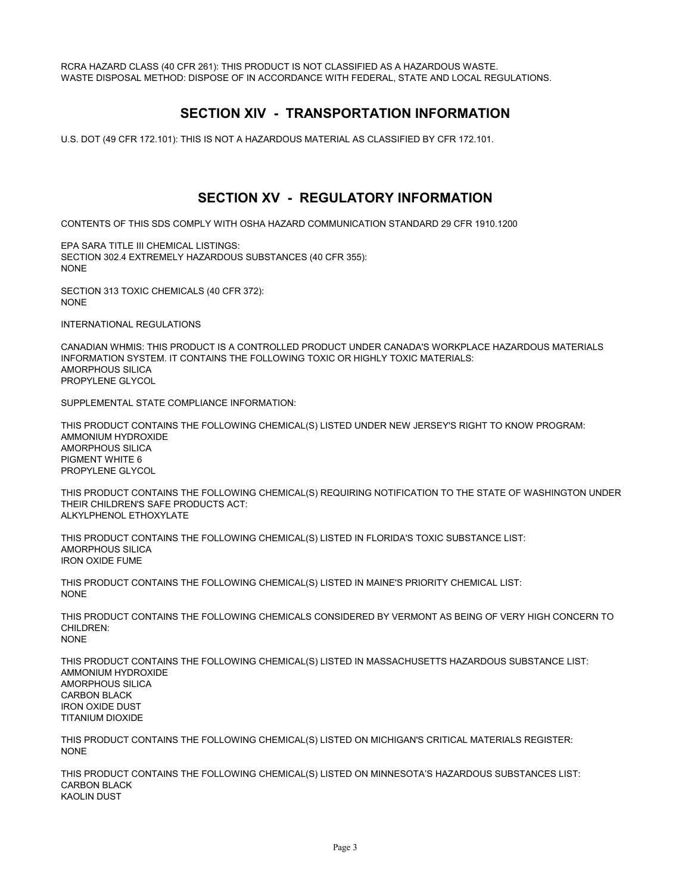RCRA HAZARD CLASS (40 CFR 261): THIS PRODUCT IS NOT CLASSIFIED AS A HAZARDOUS WASTE. WASTE DISPOSAL METHOD: DISPOSE OF IN ACCORDANCE WITH FEDERAL, STATE AND LOCAL REGULATIONS.

# **SECTION XIV - TRANSPORTATION INFORMATION**

U.S. DOT (49 CFR 172.101): THIS IS NOT A HAZARDOUS MATERIAL AS CLASSIFIED BY CFR 172.101.

# **SECTION XV - REGULATORY INFORMATION**

CONTENTS OF THIS SDS COMPLY WITH OSHA HAZARD COMMUNICATION STANDARD 29 CFR 1910.1200

EPA SARA TITLE III CHEMICAL LISTINGS: SECTION 302.4 EXTREMELY HAZARDOUS SUBSTANCES (40 CFR 355): NONE

SECTION 313 TOXIC CHEMICALS (40 CFR 372): NONE

INTERNATIONAL REGULATIONS

CANADIAN WHMIS: THIS PRODUCT IS A CONTROLLED PRODUCT UNDER CANADA'S WORKPLACE HAZARDOUS MATERIALS INFORMATION SYSTEM. IT CONTAINS THE FOLLOWING TOXIC OR HIGHLY TOXIC MATERIALS: AMORPHOUS SILICA PROPYLENE GLYCOL

SUPPLEMENTAL STATE COMPLIANCE INFORMATION:

THIS PRODUCT CONTAINS THE FOLLOWING CHEMICAL(S) LISTED UNDER NEW JERSEY'S RIGHT TO KNOW PROGRAM: AMMONIUM HYDROXIDE AMORPHOUS SILICA PIGMENT WHITE 6 PROPYLENE GLYCOL

THIS PRODUCT CONTAINS THE FOLLOWING CHEMICAL(S) REQUIRING NOTIFICATION TO THE STATE OF WASHINGTON UNDER THEIR CHILDREN'S SAFE PRODUCTS ACT: ALKYLPHENOL ETHOXYLATE

THIS PRODUCT CONTAINS THE FOLLOWING CHEMICAL(S) LISTED IN FLORIDA'S TOXIC SUBSTANCE LIST: AMORPHOUS SILICA IRON OXIDE FUME

THIS PRODUCT CONTAINS THE FOLLOWING CHEMICAL(S) LISTED IN MAINE'S PRIORITY CHEMICAL LIST: NONE

THIS PRODUCT CONTAINS THE FOLLOWING CHEMICALS CONSIDERED BY VERMONT AS BEING OF VERY HIGH CONCERN TO CHILDREN: NONE

THIS PRODUCT CONTAINS THE FOLLOWING CHEMICAL(S) LISTED IN MASSACHUSETTS HAZARDOUS SUBSTANCE LIST: AMMONIUM HYDROXIDE AMORPHOUS SILICA CARBON BLACK IRON OXIDE DUST TITANIUM DIOXIDE

THIS PRODUCT CONTAINS THE FOLLOWING CHEMICAL(S) LISTED ON MICHIGAN'S CRITICAL MATERIALS REGISTER: **NONE** 

THIS PRODUCT CONTAINS THE FOLLOWING CHEMICAL(S) LISTED ON MINNESOTA'S HAZARDOUS SUBSTANCES LIST: CARBON BLACK KAOLIN DUST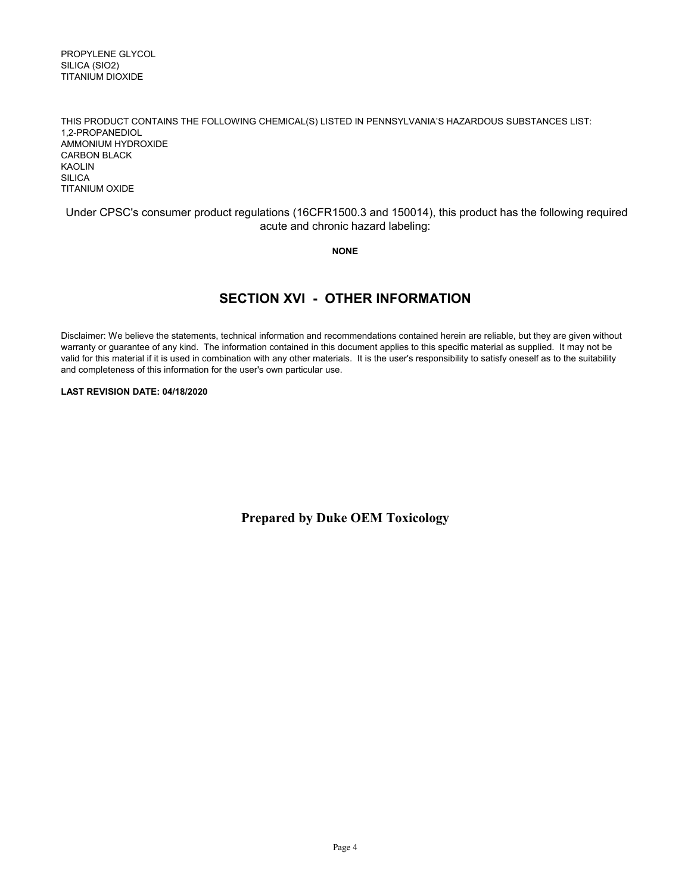PROPYLENE GLYCOL SILICA (SIO2) TITANIUM DIOXIDE

THIS PRODUCT CONTAINS THE FOLLOWING CHEMICAL(S) LISTED IN PENNSYLVANIA'S HAZARDOUS SUBSTANCES LIST: 1,2-PROPANEDIOL AMMONIUM HYDROXIDE CARBON BLACK KAOLIN SILICA TITANIUM OXIDE

#### Under CPSC's consumer product regulations (16CFR1500.3 and 150014), this product has the following required acute and chronic hazard labeling:

**NONE**

# **SECTION XVI - OTHER INFORMATION**

Disclaimer: We believe the statements, technical information and recommendations contained herein are reliable, but they are given without warranty or guarantee of any kind. The information contained in this document applies to this specific material as supplied. It may not be valid for this material if it is used in combination with any other materials. It is the user's responsibility to satisfy oneself as to the suitability and completeness of this information for the user's own particular use.

#### **LAST REVISION DATE: 04/18/2020**

**Prepared by Duke OEM Toxicology**